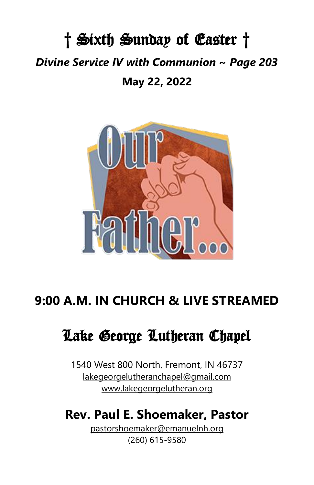# † Sixth Sunday of Easter † *Divine Service IV with Communion* **~** *Page 203* **May 22, 2022**



# **9:00 A.M. IN CHURCH & LIVE STREAMED**

# Lake George Lutheran Chapel

1540 West 800 North, Fremont, IN 46737 [lakegeorgelutheranchapel@gmail.com](mailto:lakegeorgelutheranchapel@gmail.com) [www.lakegeorgelutheran.org](http://www.lakegeorgelutheran.org/)

# **Rev. Paul E. Shoemaker, Pastor**

[pastorshoemaker@emanuelnh.org](mailto:pastorshoemaker@emanuelnh.org) (260) 615-9580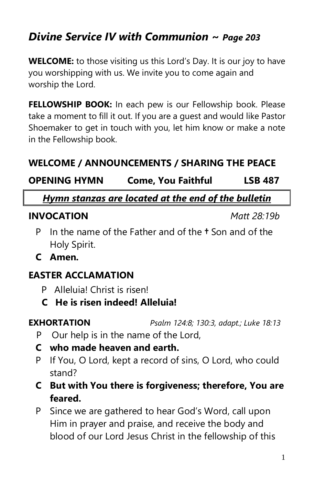# *Divine Service IV with Communion ~ Page 203*

**WELCOME:** to those visiting us this Lord's Day. It is our joy to have you worshipping with us. We invite you to come again and worship the Lord.

**FELLOWSHIP BOOK:** In each pew is our Fellowship book. Please take a moment to fill it out. If you are a guest and would like Pastor Shoemaker to get in touch with you, let him know or make a note in the Fellowship book.

# **WELCOME / ANNOUNCEMENTS / SHARING THE PEACE**

**OPENING HYMN Come, You Faithful LSB 487**

*Hymn stanzas are located at the end of the bulletin*

### **INVOCATION** *Matt 28:19b*

- P In the name of the Father and of the **†** Son and of the Holy Spirit.
- **C Amen.**

### **EASTER ACCLAMATION**

- P Alleluia! Christ is risen!
- **C He is risen indeed! Alleluia!**

**EXHORTATION** *Psalm 124:8; 130:3, adapt.; Luke 18:13*

- P Our help is in the name of the Lord,
- **C who made heaven and earth.**
- P If You, O Lord, kept a record of sins, O Lord, who could stand?
- **C But with You there is forgiveness; therefore, You are feared.**
- P Since we are gathered to hear God's Word, call upon Him in prayer and praise, and receive the body and blood of our Lord Jesus Christ in the fellowship of this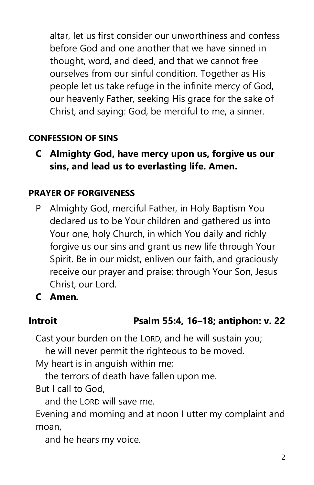altar, let us first consider our unworthiness and confess before God and one another that we have sinned in thought, word, and deed, and that we cannot free ourselves from our sinful condition. Together as His people let us take refuge in the infinite mercy of God, our heavenly Father, seeking His grace for the sake of Christ, and saying: God, be merciful to me, a sinner.

# **CONFESSION OF SINS**

**C Almighty God, have mercy upon us, forgive us our sins, and lead us to everlasting life. Amen.**

### **PRAYER OF FORGIVENESS**

P Almighty God, merciful Father, in Holy Baptism You declared us to be Your children and gathered us into Your one, holy Church, in which You daily and richly forgive us our sins and grant us new life through Your Spirit. Be in our midst, enliven our faith, and graciously receive our prayer and praise; through Your Son, Jesus Christ, our Lord.

**C Amen.**

# **Introit Psalm 55:4, 16–18; antiphon: v. 22**

Cast your burden on the LORD, and he will sustain you;

he will never permit the righteous to be moved.

My heart is in anguish within me;

the terrors of death have fallen upon me.

But I call to God,

and the LORD will save me.

Evening and morning and at noon I utter my complaint and moan,

and he hears my voice.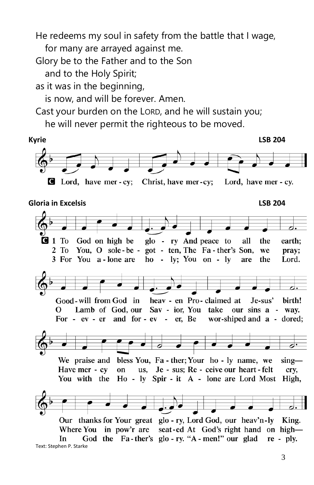He redeems my soul in safety from the battle that I wage,

for many are arrayed against me.

Glory be to the Father and to the Son

and to the Holy Spirit;

as it was in the beginning,

is now, and will be forever. Amen.

Cast your burden on the LORD, and he will sustain you;

he will never permit the righteous to be moved.



**I** Lord, have mer - cy; Christ, have mer-cy; Lord, have mer - cy.

**Gloria in Excelsis LSB 204**

glo - ry And peace to **1** To God on high be the all earth; 2 To You, O sole-be - got - ten, The Fa-ther's Son, we pray; ho - ly; You on - ly 3 For You a-lone are the Lord. are heav - en Pro-claimed at Good-will from God in birth! Je-sus' Lamb of God, our Sav - ior, You take our sins a - way. O For - ev - er and for - ev - er, Be wor-shiped and a - dored; We praise and bless You, Fa - ther; Your ho - ly name, we  $\sin g$  us, Je - sus; Re - ceive our heart - felt Have mer - cv on crv. Ho - ly Spir - it A - lone are Lord Most High, You with the Our thanks for Your great glo - ry, Lord God, our heav'n-ly King. seat-ed At God's right hand on high-Where You in pow'r are God the Fa-ther's glo-ry. "A-men!" our glad In  $re - ply.$ 

Text: Stephen P. Starke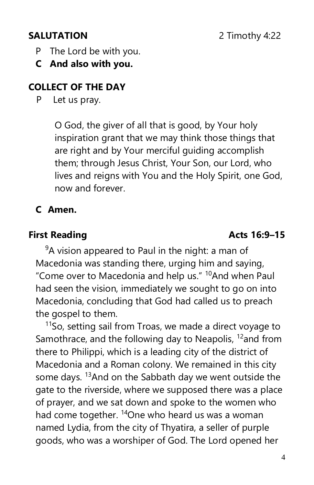- P The Lord be with you.
- **C And also with you.**

# **COLLECT OF THE DAY**

P Let us pray.

O God, the giver of all that is good, by Your holy inspiration grant that we may think those things that are right and by Your merciful guiding accomplish them; through Jesus Christ, Your Son, our Lord, who lives and reigns with You and the Holy Spirit, one God, now and forever.

# **C Amen.**

# **First Reading Acts 16:9–15**

 $9A$  vision appeared to Paul in the night: a man of Macedonia was standing there, urging him and saying, "Come over to Macedonia and help us." <sup>10</sup>And when Paul had seen the vision, immediately we sought to go on into Macedonia, concluding that God had called us to preach the gospel to them.

 $11$ So, setting sail from Troas, we made a direct voyage to Samothrace, and the following day to Neapolis, <sup>12</sup>and from there to Philippi, which is a leading city of the district of Macedonia and a Roman colony. We remained in this city some days. <sup>13</sup>And on the Sabbath day we went outside the gate to the riverside, where we supposed there was a place of prayer, and we sat down and spoke to the women who had come together. <sup>14</sup>One who heard us was a woman named Lydia, from the city of Thyatira, a seller of purple goods, who was a worshiper of God. The Lord opened her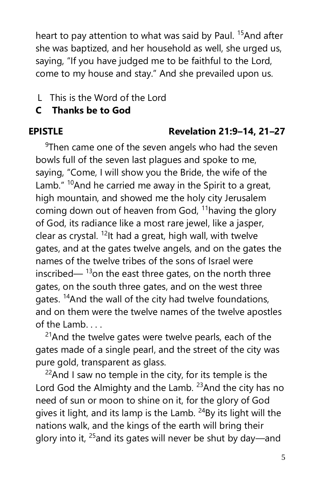heart to pay attention to what was said by Paul. <sup>15</sup>And after she was baptized, and her household as well, she urged us, saying, "If you have judged me to be faithful to the Lord, come to my house and stay." And she prevailed upon us.

# LThis is the Word of the Lord

# **C Thanks be to God**

# **EPISTLE Revelation 21:9–14, 21–27**

 $9$ Then came one of the seven angels who had the seven bowls full of the seven last plagues and spoke to me, saying, "Come, I will show you the Bride, the wife of the Lamb."  $10A$ nd he carried me away in the Spirit to a great, high mountain, and showed me the holy city Jerusalem coming down out of heaven from God,  $11$ having the glory of God, its radiance like a most rare jewel, like a jasper, clear as crystal.  $^{12}$ It had a great, high wall, with twelve gates, and at the gates twelve angels, and on the gates the names of the twelve tribes of the sons of Israel were inscribed— $13$ on the east three gates, on the north three gates, on the south three gates, and on the west three gates. <sup>14</sup>And the wall of the city had twelve foundations, and on them were the twelve names of the twelve apostles of the Lamb.  $\hspace{1em}$ 

<sup>21</sup>And the twelve gates were twelve pearls, each of the gates made of a single pearl, and the street of the city was pure gold, transparent as glass.

 $22$ And I saw no temple in the city, for its temple is the Lord God the Almighty and the Lamb.  $23$ And the city has no need of sun or moon to shine on it, for the glory of God gives it light, and its lamp is the Lamb.  $24$ By its light will the nations walk, and the kings of the earth will bring their glory into it,  $25$  and its gates will never be shut by day—and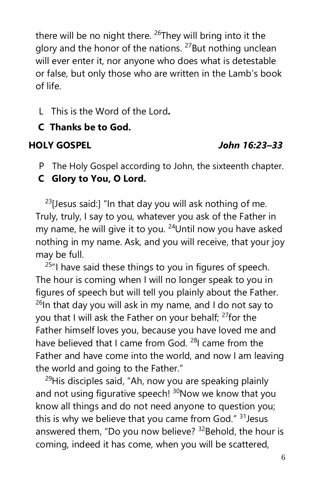there will be no night there.  $^{26}$ They will bring into it the glory and the honor of the nations. <sup>27</sup>But nothing unclean will ever enter it, nor anyone who does what is detestable or false, but only those who are written in the Lamb's book of life.

LThis is the Word of the Lord**.**

# **C Thanks be to God.**

# **HOLY GOSPEL** *John 16:23–33*

- P The Holy Gospel according to John, the sixteenth chapter.
- **C Glory to You, O Lord.**

 $23$ [Jesus said:] "In that day you will ask nothing of me. Truly, truly, I say to you, whatever you ask of the Father in my name, he will give it to you. <sup>24</sup>Until now you have asked nothing in my name. Ask, and you will receive, that your joy may be full.

 $25$ "I have said these things to you in figures of speech. The hour is coming when I will no longer speak to you in figures of speech but will tell you plainly about the Father.  $26$ In that day you will ask in my name, and I do not say to you that I will ask the Father on your behalf; <sup>27</sup>for the Father himself loves you, because you have loved me and have believed that I came from God. <sup>28</sup>I came from the Father and have come into the world, and now I am leaving the world and going to the Father."

<sup>29</sup>His disciples said, "Ah, now you are speaking plainly and not using figurative speech!  $30N$ ow we know that you know all things and do not need anyone to question you; this is why we believe that you came from God."  $31$  Jesus answered them, "Do you now believe? <sup>32</sup>Behold, the hour is coming, indeed it has come, when you will be scattered,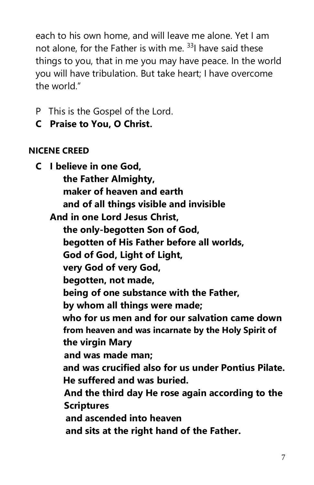each to his own home, and will leave me alone. Yet I am not alone, for the Father is with me.  $33$ ] have said these things to you, that in me you may have peace. In the world you will have tribulation. But take heart; I have overcome the world."

- P This is the Gospel of the Lord.
- **C Praise to You, O Christ.**

# **NICENE CREED**

**C I believe in one God, the Father Almighty, maker of heaven and earth and of all things visible and invisible And in one Lord Jesus Christ, the only-begotten Son of God, begotten of His Father before all worlds, God of God, Light of Light, very God of very God, begotten, not made, being of one substance with the Father, by whom all things were made; who for us men and for our salvation came down from heaven and was incarnate by the Holy Spirit of the virgin Mary and was made man; and was crucified also for us under Pontius Pilate. He suffered and was buried. And the third day He rose again according to the Scriptures and ascended into heaven and sits at the right hand of the Father.**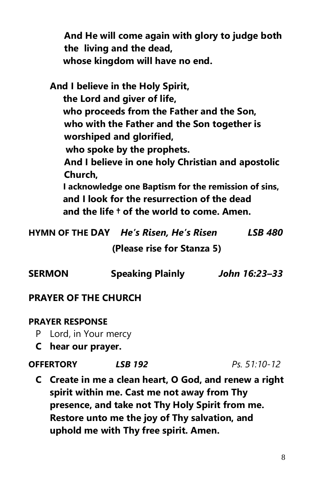**And He will come again with glory to judge both the living and the dead, whose kingdom will have no end.**

**And I believe in the Holy Spirit, the Lord and giver of life, who proceeds from the Father and the Son, who with the Father and the Son together is worshiped and glorified, who spoke by the prophets. And I believe in one holy Christian and apostolic Church, I acknowledge one Baptism for the remission of sins, and I look for the resurrection of the dead and the life † of the world to come. Amen.**

**HYMN OF THE DAY** *He's Risen, He's Risen LSB 480* 

 **(Please rise for Stanza 5)** 

| John 16:23-33 |
|---------------|
|               |

### **PRAYER OF THE CHURCH**

#### **PRAYER RESPONSE**

- P Lord, in Your mercy
- **C hear our prayer.**

#### **OFFERTORY** *LSB 192 Ps. 51:10-12*

**C Create in me a clean heart, O God, and renew a right spirit within me. Cast me not away from Thy presence, and take not Thy Holy Spirit from me. Restore unto me the joy of Thy salvation, and uphold me with Thy free spirit. Amen.**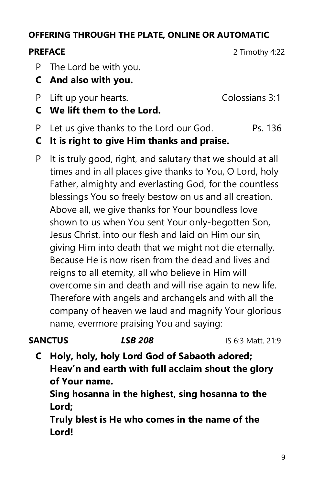# **OFFERING THROUGH THE PLATE, ONLINE OR AUTOMATIC**

**PREFACE** 2 Timothy 4:22

- P The Lord be with you.
- **C And also with you.**
- P Lift up your hearts. Colossians 3:1
	-

- **C We lift them to the Lord.**
- P Let us give thanks to the Lord our God. Ps. 136
- **C It is right to give Him thanks and praise.**
- P It is truly good, right, and salutary that we should at all times and in all places give thanks to You, O Lord, holy Father, almighty and everlasting God, for the countless blessings You so freely bestow on us and all creation. Above all, we give thanks for Your boundless love shown to us when You sent Your only-begotten Son, Jesus Christ, into our flesh and laid on Him our sin, giving Him into death that we might not die eternally. Because He is now risen from the dead and lives and reigns to all eternity, all who believe in Him will overcome sin and death and will rise again to new life. Therefore with angels and archangels and with all the company of heaven we laud and magnify Your glorious name, evermore praising You and saying:

- **SANCTUS** *LSB 208* IS 6:3 Matt. 21:9
	- **C Holy, holy, holy Lord God of Sabaoth adored; Heav'n and earth with full acclaim shout the glory of Your name.**

**Sing hosanna in the highest, sing hosanna to the Lord;**

**Truly blest is He who comes in the name of the Lord!**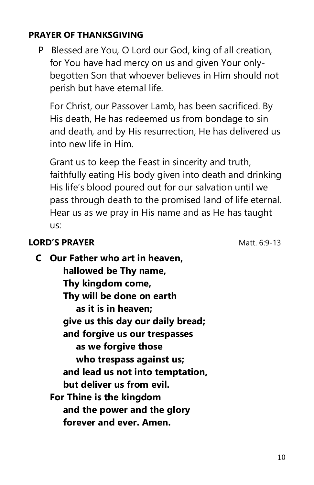### **PRAYER OF THANKSGIVING**

P Blessed are You, O Lord our God, king of all creation, for You have had mercy on us and given Your onlybegotten Son that whoever believes in Him should not perish but have eternal life.

For Christ, our Passover Lamb, has been sacrificed. By His death, He has redeemed us from bondage to sin and death, and by His resurrection, He has delivered us into new life in Him.

Grant us to keep the Feast in sincerity and truth, faithfully eating His body given into death and drinking His life's blood poured out for our salvation until we pass through death to the promised land of life eternal. Hear us as we pray in His name and as He has taught us:

### **LORD'S PRAYER** Matt. 6:9-13

**C Our Father who art in heaven, hallowed be Thy name, Thy kingdom come, Thy will be done on earth as it is in heaven; give us this day our daily bread; and forgive us our trespasses as we forgive those who trespass against us; and lead us not into temptation, but deliver us from evil. For Thine is the kingdom and the power and the glory forever and ever. Amen.**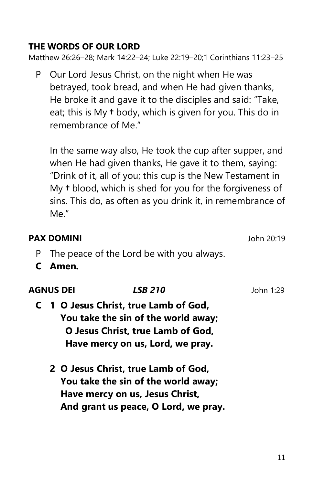### **THE WORDS OF OUR LORD**

Matthew 26:26–28; Mark 14:22–24; Luke 22:19–20;1 Corinthians 11:23–25

P Our Lord Jesus Christ, on the night when He was betrayed, took bread, and when He had given thanks, He broke it and gave it to the disciples and said: "Take, eat; this is My **†** body, which is given for you. This do in remembrance of Me."

In the same way also, He took the cup after supper, and when He had given thanks, He gave it to them, saying: "Drink of it, all of you; this cup is the New Testament in My **†** blood, which is shed for you for the forgiveness of sins. This do, as often as you drink it, in remembrance of Me."

### **PAX DOMINI** John 20:19

- P The peace of the Lord be with you always.
- **C Amen.**

| <b>AGNUS DEI</b> | <i><b>LSB 210</b></i>                 | John 1:29 |
|------------------|---------------------------------------|-----------|
|                  | C 1 O Jesus Christ, true Lamb of God, |           |
|                  | You take the sin of the world away;   |           |
|                  | O Jesus Christ, true Lamb of God,     |           |
|                  | Have mercy on us, Lord, we pray.      |           |
|                  |                                       |           |

**2 O Jesus Christ, true Lamb of God, You take the sin of the world away; Have mercy on us, Jesus Christ, And grant us peace, O Lord, we pray.**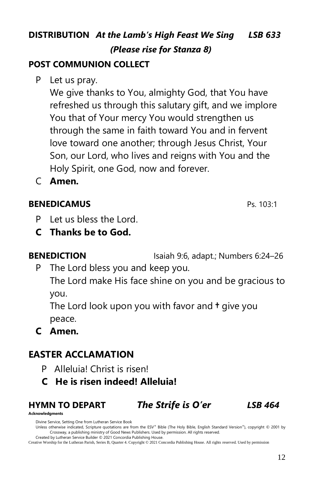# **DISTRIBUTION** *At the Lamb's High Feast We Sing LSB 633 (Please rise for Stanza 8)*

# **POST COMMUNION COLLECT**

P Let us pray.

We give thanks to You, almighty God, that You have refreshed us through this salutary gift, and we implore You that of Your mercy You would strengthen us through the same in faith toward You and in fervent love toward one another; through Jesus Christ, Your Son, our Lord, who lives and reigns with You and the Holy Spirit, one God, now and forever.

C **Amen.**

### **BENEDICAMUS** Ps. 103:1

- P Let us bless the Lord.
- **C Thanks be to God.**

**BENEDICTION** Isaiah 9:6, adapt.; Numbers 6:24–26

P The Lord bless you and keep you.

The Lord make His face shine on you and be gracious to you.

The Lord look upon you with favor and **†** give you peace.

**C Amen.**

## **EASTER ACCLAMATION**

- P Alleluia! Christ is risen!
- **C He is risen indeed! Alleluia!**

# **HYMN TO DEPART** *The Strife is O'er LSB 464*

**Acknowledgments**

Divine Service, Setting One from Lutheran Service Book

Unless otherwise indicated, Scripture quotations are from the ESV® Bible (The Holy Bible, English Standard Version®), copyright © 2001 by Crossway, a publishing ministry of Good News Publishers. Used by permission. All rights reserved. Created by Lutheran Service Builder © 2021 Concordia Publishing House.

Creative Worship for the Lutheran Parish, Series B, Quarter 4. Copyright © 2021 Concordia Publishing House. All rights reserved. Used by permission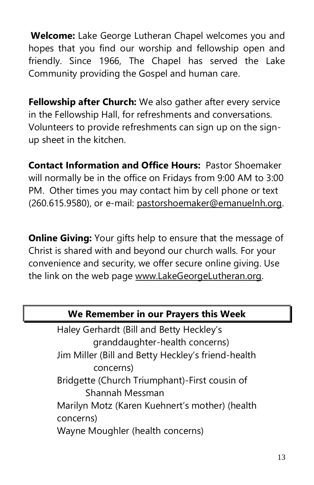**Welcome:** Lake George Lutheran Chapel welcomes you and hopes that you find our worship and fellowship open and friendly. Since 1966, The Chapel has served the Lake Community providing the Gospel and human care.

**Fellowship after Church:** We also gather after every service in the Fellowship Hall, for refreshments and conversations. Volunteers to provide refreshments can sign up on the signup sheet in the kitchen.

**Contact Information and Office Hours:** Pastor Shoemaker will normally be in the office on Fridays from 9:00 AM to 3:00 PM. Other times you may contact him by cell phone or text (260.615.9580), or e-mail: [pastorshoemaker@emanuelnh.org.](mailto:pastorshoemaker@emanuelnh.org)

**Online Giving:** Your gifts help to ensure that the message of Christ is shared with and beyond our church walls. For your convenience and security, we offer secure online giving. Use the link on the web page [www.LakeGeorgeLutheran.org.](http://www.lakegeorgelutheran.org/)

| We Remember in our Prayers this Week               |  |
|----------------------------------------------------|--|
| Haley Gerhardt (Bill and Betty Heckley's           |  |
| granddaughter-health concerns)                     |  |
| Jim Miller (Bill and Betty Heckley's friend-health |  |
| concerns)                                          |  |
| Bridgette (Church Triumphant)-First cousin of      |  |
| Shannah Messman                                    |  |
| Marilyn Motz (Karen Kuehnert's mother) (health     |  |
| concerns)                                          |  |
| Wayne Moughler (health concerns)                   |  |
|                                                    |  |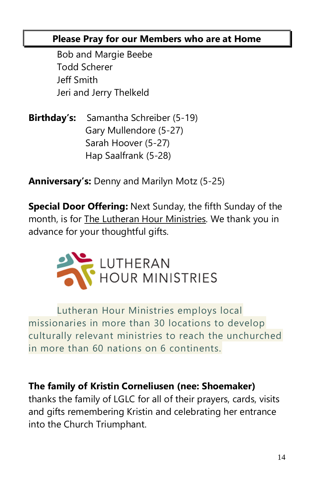# **Please Pray for our Members who are at Home**

Bob and Margie Beebe Todd Scherer Jeff Smith Jeri and Jerry Thelkeld

**Birthday's:** Samantha Schreiber (5-19) Gary Mullendore (5-27) Sarah Hoover (5-27) Hap Saalfrank (5-28)

**Anniversary's:** Denny and Marilyn Motz (5-25)

**Special Door Offering:** Next Sunday, the fifth Sunday of the month, is for The Lutheran Hour Ministries. We thank you in advance for your thoughtful gifts.



Lutheran Hour Ministries employs local missionaries in more than 30 locations to develop culturally relevant ministries to reach the unchurched in more than 60 nations on 6 continents.

# **The family of Kristin Corneliusen (nee: Shoemaker)**

thanks the family of LGLC for all of their prayers, cards, visits and gifts remembering Kristin and celebrating her entrance into the Church Triumphant.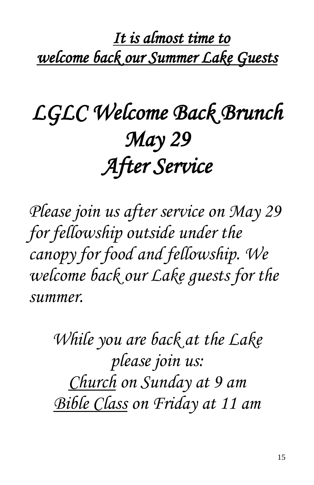*It is almost time to welcome back our Summer Lake Guests* 

# *LGLC Welcome Back Brunch May 29 After Service*

*Please join us after service on May 29 for fellowship outside under the canopy for food and fellowship. We welcome back our Lake guests for the summer.*

> *While you are back at the Lake please join us: Church on Sunday at 9 am Bible Class on Friday at 11 am*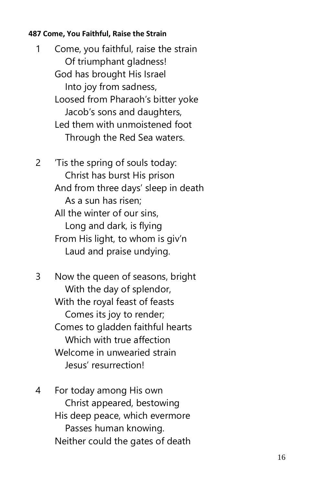#### **487 Come, You Faithful, Raise the Strain**

1 Come, you faithful, raise the strain Of triumphant gladness! God has brought His Israel Into joy from sadness, Loosed from Pharaoh's bitter yoke Jacob's sons and daughters, Led them with unmoistened foot Through the Red Sea waters.

2 'Tis the spring of souls today: Christ has burst His prison And from three days' sleep in death As a sun has risen; All the winter of our sins, Long and dark, is flying From His light, to whom is giv'n Laud and praise undying.

3 Now the queen of seasons, bright With the day of splendor, With the royal feast of feasts Comes its joy to render; Comes to gladden faithful hearts Which with true affection Welcome in unwearied strain Jesus' resurrection!

4 For today among His own Christ appeared, bestowing His deep peace, which evermore Passes human knowing. Neither could the gates of death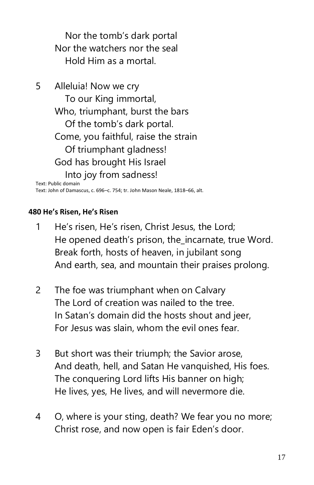Nor the tomb's dark portal Nor the watchers nor the seal Hold Him as a mortal.

5 Alleluia! Now we cry To our King immortal, Who, triumphant, burst the bars Of the tomb's dark portal. Come, you faithful, raise the strain Of triumphant gladness! God has brought His Israel Into joy from sadness! Text: Public domain

Text: John of Damascus, c. 696–c. 754; tr. John Mason Neale, 1818–66, alt.

#### **480 He's Risen, He's Risen**

- 1 He's risen, He's risen, Christ Jesus, the Lord; He opened death's prison, the\_incarnate, true Word. Break forth, hosts of heaven, in jubilant song And earth, sea, and mountain their praises prolong.
- 2 The foe was triumphant when on Calvary The Lord of creation was nailed to the tree. In Satan's domain did the hosts shout and jeer, For Jesus was slain, whom the evil ones fear.
- 3 But short was their triumph; the Savior arose, And death, hell, and Satan He vanquished, His foes. The conquering Lord lifts His banner on high; He lives, yes, He lives, and will nevermore die.
- 4 O, where is your sting, death? We fear you no more; Christ rose, and now open is fair Eden's door.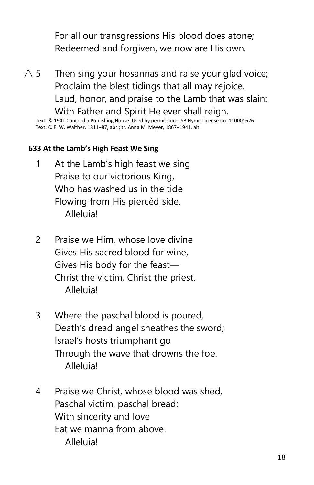For all our transgressions His blood does atone; Redeemed and forgiven, we now are His own.

 $\triangle$  5 Then sing your hosannas and raise your glad voice; Proclaim the blest tidings that all may rejoice. Laud, honor, and praise to the Lamb that was slain: With Father and Spirit He ever shall reign.

Text: © 1941 Concordia Publishing House. Used by permission: LSB Hymn License no. 110001626 Text: C. F. W. Walther, 1811–87, abr.; tr. Anna M. Meyer, 1867–1941, alt.

#### **633 At the Lamb's High Feast We Sing**

- 1 At the Lamb's high feast we sing Praise to our victorious King, Who has washed us in the tide Flowing from His piercèd side. Alleluia!
- 2 Praise we Him, whose love divine Gives His sacred blood for wine, Gives His body for the feast— Christ the victim, Christ the priest. Alleluia!
- 3 Where the paschal blood is poured, Death's dread angel sheathes the sword; Israel's hosts triumphant go Through the wave that drowns the foe. Alleluia!
- 4 Praise we Christ, whose blood was shed, Paschal victim, paschal bread; With sincerity and love Eat we manna from above. Alleluia!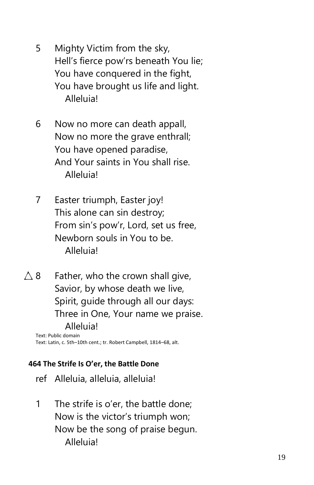- 5 Mighty Victim from the sky, Hell's fierce pow'rs beneath You lie; You have conquered in the fight, You have brought us life and light. Alleluia!
- 6 Now no more can death appall, Now no more the grave enthrall; You have opened paradise, And Your saints in You shall rise. Alleluia!
- 7 Easter triumph, Easter joy! This alone can sin destroy; From sin's pow'r, Lord, set us free, Newborn souls in You to be. Alleluia!
- $\triangle$  8 Father, who the crown shall give, Savior, by whose death we live, Spirit, guide through all our days: Three in One, Your name we praise. Alleluia!

Text: Public domain Text: Latin, c. 5th–10th cent.; tr. Robert Campbell, 1814–68, alt.

### **464 The Strife Is O'er, the Battle Done**

- ref Alleluia, alleluia, alleluia!
- 1 The strife is o'er, the battle done; Now is the victor's triumph won; Now be the song of praise begun. Alleluia!